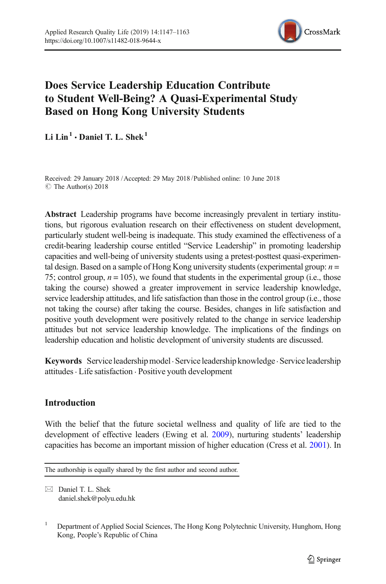

# Does Service Leadership Education Contribute to Student Well-Being? A Quasi-Experimental Study Based on Hong Kong University Students

Li Lin<sup>1</sup>  $\cdot$  Daniel T. L. Shek<sup>1</sup>

Received: 29 January 2018 /Accepted: 29 May 2018 /Published online: 10 June 2018 $\circ$  The Author(s) 2018

Abstract Leadership programs have become increasingly prevalent in tertiary institutions, but rigorous evaluation research on their effectiveness on student development, particularly student well-being is inadequate. This study examined the effectiveness of a credit-bearing leadership course entitled "Service Leadership" in promoting leadership capacities and well-being of university students using a pretest-posttest quasi-experimental design. Based on a sample of Hong Kong university students (experimental group:  $n =$ 75; control group,  $n = 105$ ), we found that students in the experimental group (i.e., those taking the course) showed a greater improvement in service leadership knowledge, service leadership attitudes, and life satisfaction than those in the control group (i.e., those not taking the course) after taking the course. Besides, changes in life satisfaction and positive youth development were positively related to the change in service leadership attitudes but not service leadership knowledge. The implications of the findings on leadership education and holistic development of university students are discussed.

Keywords Serviceleadershipmodel .Serviceleadership knowledge .Serviceleadership attitudes. Life satisfaction . Positive youth development

# **Introduction**

With the belief that the future societal wellness and quality of life are tied to the development of effective leaders (Ewing et al. [2009\)](#page-15-0), nurturing students' leadership capacities has become an important mission of higher education (Cress et al. [2001\)](#page-15-0). In

 $\boxtimes$  Daniel T. L. Shek [daniel.shek@polyu.edu.hk](mailto:daniel.shek@polyu.edu.hk)

The authorship is equally shared by the first author and second author.

<sup>&</sup>lt;sup>1</sup> Department of Applied Social Sciences, The Hong Kong Polytechnic University, Hunghom, Hong Kong, People's Republic of China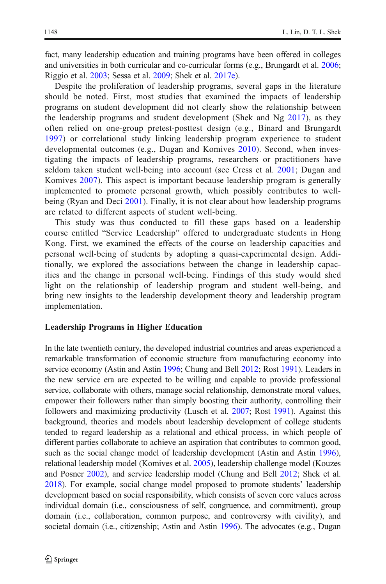fact, many leadership education and training programs have been offered in colleges and universities in both curricular and co-curricular forms (e.g., Brungardt et al. [2006;](#page-15-0) Riggio et al. [2003](#page-15-0); Sessa et al. [2009;](#page-16-0) Shek et al. [2017e\)](#page-16-0).

Despite the proliferation of leadership programs, several gaps in the literature should be noted. First, most studies that examined the impacts of leadership programs on student development did not clearly show the relationship between the leadership programs and student development (Shek and Ng [2017](#page-16-0)), as they often relied on one-group pretest-posttest design (e.g., Binard and Brungardt [1997](#page-15-0)) or correlational study linking leadership program experience to student developmental outcomes (e.g., Dugan and Komives [2010\)](#page-15-0). Second, when investigating the impacts of leadership programs, researchers or practitioners have seldom taken student well-being into account (see Cress et al. [2001](#page-15-0); Dugan and Komives [2007](#page-15-0)). This aspect is important because leadership program is generally implemented to promote personal growth, which possibly contributes to wellbeing (Ryan and Deci [2001\)](#page-16-0). Finally, it is not clear about how leadership programs are related to different aspects of student well-being.

This study was thus conducted to fill these gaps based on a leadership course entitled "Service Leadership" offered to undergraduate students in Hong Kong. First, we examined the effects of the course on leadership capacities and personal well-being of students by adopting a quasi-experimental design. Additionally, we explored the associations between the change in leadership capacities and the change in personal well-being. Findings of this study would shed light on the relationship of leadership program and student well-being, and bring new insights to the leadership development theory and leadership program implementation.

#### Leadership Programs in Higher Education

In the late twentieth century, the developed industrial countries and areas experienced a remarkable transformation of economic structure from manufacturing economy into service economy (Astin and Astin [1996;](#page-14-0) Chung and Bell [2012](#page-15-0); Rost [1991\)](#page-16-0). Leaders in the new service era are expected to be willing and capable to provide professional service, collaborate with others, manage social relationship, demonstrate moral values, empower their followers rather than simply boosting their authority, controlling their followers and maximizing productivity (Lusch et al. [2007;](#page-15-0) Rost [1991](#page-16-0)). Against this background, theories and models about leadership development of college students tended to regard leadership as a relational and ethical process, in which people of different parties collaborate to achieve an aspiration that contributes to common good, such as the social change model of leadership development (Astin and Astin [1996\)](#page-14-0), relational leadership model (Komives et al. [2005\)](#page-15-0), leadership challenge model (Kouzes and Posner [2002\)](#page-15-0), and service leadership model (Chung and Bell [2012;](#page-15-0) Shek et al. [2018\)](#page-16-0). For example, social change model proposed to promote students' leadership development based on social responsibility, which consists of seven core values across individual domain (i.e., consciousness of self, congruence, and commitment), group domain (i.e., collaboration, common purpose, and controversy with civility), and societal domain (i.e., citizenship; Astin and Astin [1996](#page-14-0)). The advocates (e.g., Dugan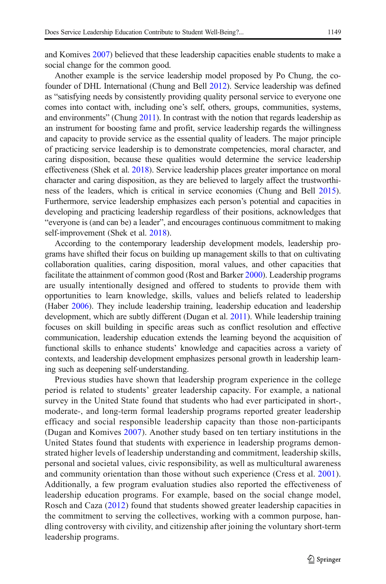and Komives [2007](#page-15-0)) believed that these leadership capacities enable students to make a social change for the common good.

Another example is the service leadership model proposed by Po Chung, the cofounder of DHL International (Chung and Bell [2012](#page-15-0)). Service leadership was defined as "satisfying needs by consistently providing quality personal service to everyone one comes into contact with, including one's self, others, groups, communities, systems, and environments" (Chung [2011\)](#page-15-0). In contrast with the notion that regards leadership as an instrument for boosting fame and profit, service leadership regards the willingness and capacity to provide service as the essential quality of leaders. The major principle of practicing service leadership is to demonstrate competencies, moral character, and caring disposition, because these qualities would determine the service leadership effectiveness (Shek et al. [2018\)](#page-16-0). Service leadership places greater importance on moral character and caring disposition, as they are believed to largely affect the trustworthiness of the leaders, which is critical in service economies (Chung and Bell [2015\)](#page-15-0). Furthermore, service leadership emphasizes each person's potential and capacities in developing and practicing leadership regardless of their positions, acknowledges that "everyone is (and can be) a leader", and encourages continuous commitment to making self-improvement (Shek et al. [2018\)](#page-16-0).

According to the contemporary leadership development models, leadership programs have shifted their focus on building up management skills to that on cultivating collaboration qualities, caring disposition, moral values, and other capacities that facilitate the attainment of common good (Rost and Barker [2000\)](#page-16-0). Leadership programs are usually intentionally designed and offered to students to provide them with opportunities to learn knowledge, skills, values and beliefs related to leadership (Haber [2006](#page-15-0)). They include leadership training, leadership education and leadership development, which are subtly different (Dugan et al. [2011\)](#page-15-0). While leadership training focuses on skill building in specific areas such as conflict resolution and effective communication, leadership education extends the learning beyond the acquisition of functional skills to enhance students' knowledge and capacities across a variety of contexts, and leadership development emphasizes personal growth in leadership learning such as deepening self-understanding.

Previous studies have shown that leadership program experience in the college period is related to students' greater leadership capacity. For example, a national survey in the United State found that students who had ever participated in short-, moderate-, and long-term formal leadership programs reported greater leadership efficacy and social responsible leadership capacity than those non-participants (Dugan and Komives [2007](#page-15-0)). Another study based on ten tertiary institutions in the United States found that students with experience in leadership programs demonstrated higher levels of leadership understanding and commitment, leadership skills, personal and societal values, civic responsibility, as well as multicultural awareness and community orientation than those without such experience (Cress et al. [2001\)](#page-15-0). Additionally, a few program evaluation studies also reported the effectiveness of leadership education programs. For example, based on the social change model, Rosch and Caza ([2012](#page-16-0)) found that students showed greater leadership capacities in the commitment to serving the collectives, working with a common purpose, handling controversy with civility, and citizenship after joining the voluntary short-term leadership programs.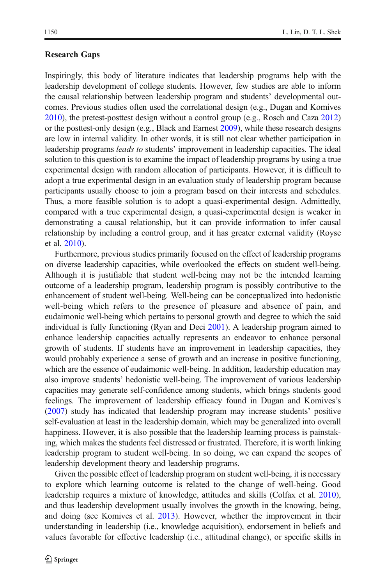#### Research Gaps

Inspiringly, this body of literature indicates that leadership programs help with the leadership development of college students. However, few studies are able to inform the causal relationship between leadership program and students' developmental outcomes. Previous studies often used the correlational design (e.g., Dugan and Komives [2010\)](#page-15-0), the pretest-posttest design without a control group (e.g., Rosch and Caza [2012](#page-16-0)) or the posttest-only design (e.g., Black and Earnest [2009](#page-15-0)), while these research designs are low in internal validity. In other words, it is still not clear whether participation in leadership programs leads to students' improvement in leadership capacities. The ideal solution to this question is to examine the impact of leadership programs by using a true experimental design with random allocation of participants. However, it is difficult to adopt a true experimental design in an evaluation study of leadership program because participants usually choose to join a program based on their interests and schedules. Thus, a more feasible solution is to adopt a quasi-experimental design. Admittedly, compared with a true experimental design, a quasi-experimental design is weaker in demonstrating a causal relationship, but it can provide information to infer causal relationship by including a control group, and it has greater external validity (Royse et al. [2010\)](#page-16-0).

Furthermore, previous studies primarily focused on the effect of leadership programs on diverse leadership capacities, while overlooked the effects on student well-being. Although it is justifiable that student well-being may not be the intended learning outcome of a leadership program, leadership program is possibly contributive to the enhancement of student well-being. Well-being can be conceptualized into hedonistic well-being which refers to the presence of pleasure and absence of pain, and eudaimonic well-being which pertains to personal growth and degree to which the said individual is fully functioning (Ryan and Deci [2001](#page-16-0)). A leadership program aimed to enhance leadership capacities actually represents an endeavor to enhance personal growth of students. If students have an improvement in leadership capacities, they would probably experience a sense of growth and an increase in positive functioning, which are the essence of eudaimonic well-being. In addition, leadership education may also improve students' hedonistic well-being. The improvement of various leadership capacities may generate self-confidence among students, which brings students good feelings. The improvement of leadership efficacy found in Dugan and Komives's [\(2007\)](#page-15-0) study has indicated that leadership program may increase students' positive self-evaluation at least in the leadership domain, which may be generalized into overall happiness. However, it is also possible that the leadership learning process is painstaking, which makes the students feel distressed or frustrated. Therefore, it is worth linking leadership program to student well-being. In so doing, we can expand the scopes of leadership development theory and leadership programs.

Given the possible effect of leadership program on student well-being, it is necessary to explore which learning outcome is related to the change of well-being. Good leadership requires a mixture of knowledge, attitudes and skills (Colfax et al. [2010\)](#page-15-0), and thus leadership development usually involves the growth in the knowing, being, and doing (see Komives et al. [2013\)](#page-15-0). However, whether the improvement in their understanding in leadership (i.e., knowledge acquisition), endorsement in beliefs and values favorable for effective leadership (i.e., attitudinal change), or specific skills in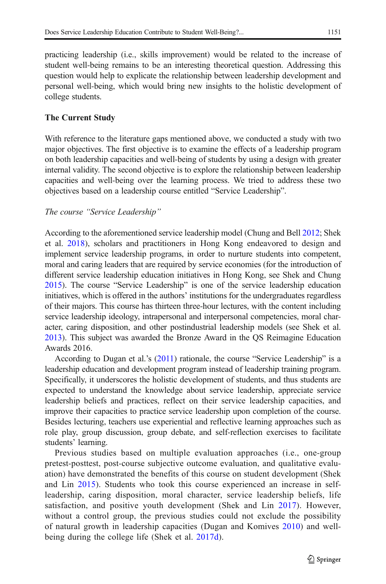practicing leadership (i.e., skills improvement) would be related to the increase of student well-being remains to be an interesting theoretical question. Addressing this question would help to explicate the relationship between leadership development and personal well-being, which would bring new insights to the holistic development of college students.

### The Current Study

With reference to the literature gaps mentioned above, we conducted a study with two major objectives. The first objective is to examine the effects of a leadership program on both leadership capacities and well-being of students by using a design with greater internal validity. The second objective is to explore the relationship between leadership capacities and well-being over the learning process. We tried to address these two objectives based on a leadership course entitled "Service Leadership".

#### The course "Service Leadership"

According to the aforementioned service leadership model (Chung and Bell [2012;](#page-15-0) Shek et al. [2018\)](#page-16-0), scholars and practitioners in Hong Kong endeavored to design and implement service leadership programs, in order to nurture students into competent, moral and caring leaders that are required by service economies (for the introduction of different service leadership education initiatives in Hong Kong, see Shek and Chung [2015\)](#page-16-0). The course "Service Leadership" is one of the service leadership education initiatives, which is offered in the authors' institutions for the undergraduates regardless of their majors. This course has thirteen three-hour lectures, with the content including service leadership ideology, intrapersonal and interpersonal competencies, moral character, caring disposition, and other postindustrial leadership models (see Shek et al. [2013\)](#page-16-0). This subject was awarded the Bronze Award in the QS Reimagine Education Awards 2016.

According to Dugan et al.'s [\(2011](#page-15-0)) rationale, the course "Service Leadership" is a leadership education and development program instead of leadership training program. Specifically, it underscores the holistic development of students, and thus students are expected to understand the knowledge about service leadership, appreciate service leadership beliefs and practices, reflect on their service leadership capacities, and improve their capacities to practice service leadership upon completion of the course. Besides lecturing, teachers use experiential and reflective learning approaches such as role play, group discussion, group debate, and self-reflection exercises to facilitate students' learning.

Previous studies based on multiple evaluation approaches (i.e., one-group pretest-posttest, post-course subjective outcome evaluation, and qualitative evaluation) have demonstrated the benefits of this course on student development (Shek and Lin [2015](#page-16-0)). Students who took this course experienced an increase in selfleadership, caring disposition, moral character, service leadership beliefs, life satisfaction, and positive youth development (Shek and Lin [2017\)](#page-16-0). However, without a control group, the previous studies could not exclude the possibility of natural growth in leadership capacities (Dugan and Komives [2010](#page-15-0)) and wellbeing during the college life (Shek et al. [2017d](#page-16-0)).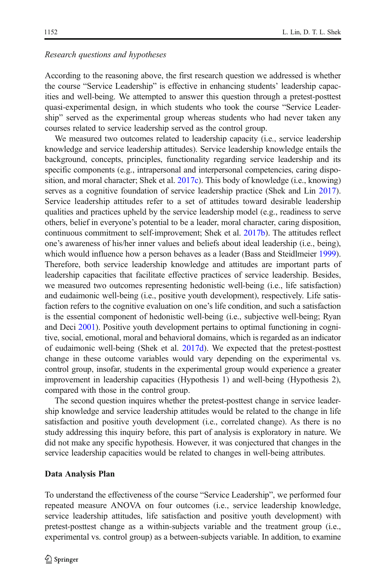#### Research questions and hypotheses

According to the reasoning above, the first research question we addressed is whether the course "Service Leadership" is effective in enhancing students' leadership capacities and well-being. We attempted to answer this question through a pretest-posttest quasi-experimental design, in which students who took the course "Service Leadership" served as the experimental group whereas students who had never taken any courses related to service leadership served as the control group.

We measured two outcomes related to leadership capacity (i.e., service leadership knowledge and service leadership attitudes). Service leadership knowledge entails the background, concepts, principles, functionality regarding service leadership and its specific components (e.g., intrapersonal and interpersonal competencies, caring disposition, and moral character; Shek et al. [2017c\)](#page-16-0). This body of knowledge (i.e., knowing) serves as a cognitive foundation of service leadership practice (Shek and Lin [2017\)](#page-16-0). Service leadership attitudes refer to a set of attitudes toward desirable leadership qualities and practices upheld by the service leadership model (e.g., readiness to serve others, belief in everyone's potential to be a leader, moral character, caring disposition, continuous commitment to self-improvement; Shek et al. [2017b](#page-16-0)). The attitudes reflect one's awareness of his/her inner values and beliefs about ideal leadership (i.e., being), which would influence how a person behaves as a leader (Bass and Steidlmeier [1999\)](#page-14-0). Therefore, both service leadership knowledge and attitudes are important parts of leadership capacities that facilitate effective practices of service leadership. Besides, we measured two outcomes representing hedonistic well-being (i.e., life satisfaction) and eudaimonic well-being (i.e., positive youth development), respectively. Life satisfaction refers to the cognitive evaluation on one's life condition, and such a satisfaction is the essential component of hedonistic well-being (i.e., subjective well-being; Ryan and Deci [2001\)](#page-16-0). Positive youth development pertains to optimal functioning in cognitive, social, emotional, moral and behavioral domains, which is regarded as an indicator of eudaimonic well-being (Shek et al. [2017d\)](#page-16-0). We expected that the pretest-posttest change in these outcome variables would vary depending on the experimental vs. control group, insofar, students in the experimental group would experience a greater improvement in leadership capacities (Hypothesis 1) and well-being (Hypothesis 2), compared with those in the control group.

The second question inquires whether the pretest-posttest change in service leadership knowledge and service leadership attitudes would be related to the change in life satisfaction and positive youth development (i.e., correlated change). As there is no study addressing this inquiry before, this part of analysis is exploratory in nature. We did not make any specific hypothesis. However, it was conjectured that changes in the service leadership capacities would be related to changes in well-being attributes.

#### Data Analysis Plan

To understand the effectiveness of the course "Service Leadership", we performed four repeated measure ANOVA on four outcomes (i.e., service leadership knowledge, service leadership attitudes, life satisfaction and positive youth development) with pretest-posttest change as a within-subjects variable and the treatment group (i.e., experimental vs. control group) as a between-subjects variable. In addition, to examine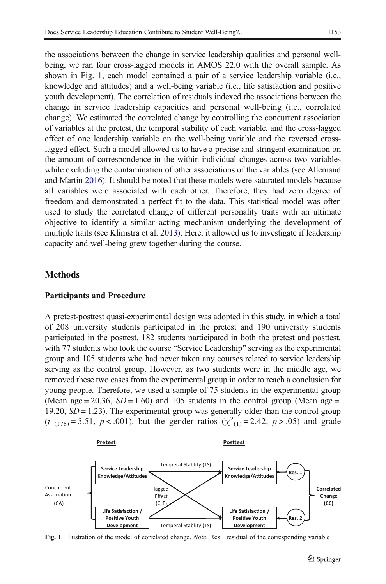the associations between the change in service leadership qualities and personal wellbeing, we ran four cross-lagged models in AMOS 22.0 with the overall sample. As shown in Fig. 1, each model contained a pair of a service leadership variable (i.e., knowledge and attitudes) and a well-being variable (i.e., life satisfaction and positive youth development). The correlation of residuals indexed the associations between the change in service leadership capacities and personal well-being (i.e., correlated change). We estimated the correlated change by controlling the concurrent association of variables at the pretest, the temporal stability of each variable, and the cross-lagged effect of one leadership variable on the well-being variable and the reversed crosslagged effect. Such a model allowed us to have a precise and stringent examination on the amount of correspondence in the within-individual changes across two variables while excluding the contamination of other associations of the variables (see Allemand and Martin [2016](#page-14-0)). It should be noted that these models were saturated models because all variables were associated with each other. Therefore, they had zero degree of freedom and demonstrated a perfect fit to the data. This statistical model was often used to study the correlated change of different personality traits with an ultimate objective to identify a similar acting mechanism underlying the development of multiple traits (see Klimstra et al. [2013](#page-15-0)). Here, it allowed us to investigate if leadership capacity and well-being grew together during the course.

### Methods

#### Participants and Procedure

A pretest-posttest quasi-experimental design was adopted in this study, in which a total of 208 university students participated in the pretest and 190 university students participated in the posttest. 182 students participated in both the pretest and posttest, with 77 students who took the course "Service Leadership" serving as the experimental group and 105 students who had never taken any courses related to service leadership serving as the control group. However, as two students were in the middle age, we removed these two cases from the experimental group in order to reach a conclusion for young people. Therefore, we used a sample of 75 students in the experimental group (Mean age = 20.36,  $SD = 1.60$ ) and 105 students in the control group (Mean age = 19.20,  $SD = 1.23$ ). The experimental group was generally older than the control group  $(t_{(178)} = 5.51, p < .001)$ , but the gender ratios  $(\chi^2_{(1)} = 2.42, p > .05)$  and grade



Fig. 1 Illustration of the model of correlated change. *Note*. Res = residual of the corresponding variable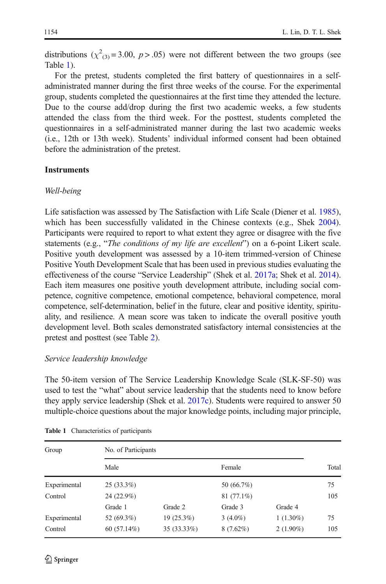distributions ( $\chi^2_{(3)}$  = 3.00, p > .05) were not different between the two groups (see Table 1).

For the pretest, students completed the first battery of questionnaires in a selfadministrated manner during the first three weeks of the course. For the experimental group, students completed the questionnaires at the first time they attended the lecture. Due to the course add/drop during the first two academic weeks, a few students attended the class from the third week. For the posttest, students completed the questionnaires in a self-administrated manner during the last two academic weeks (i.e., 12th or 13th week). Students' individual informed consent had been obtained before the administration of the pretest.

#### **Instruments**

#### Well-being

Life satisfaction was assessed by The Satisfaction with Life Scale (Diener et al. [1985\)](#page-15-0), which has been successfully validated in the Chinese contexts (e.g., Shek [2004\)](#page-16-0). Participants were required to report to what extent they agree or disagree with the five statements (e.g., "The conditions of my life are excellent") on a 6-point Likert scale. Positive youth development was assessed by a 10-item trimmed-version of Chinese Positive Youth Development Scale that has been used in previous studies evaluating the effectiveness of the course "Service Leadership" (Shek et al. [2017a;](#page-16-0) Shek et al. [2014\)](#page-16-0). Each item measures one positive youth development attribute, including social competence, cognitive competence, emotional competence, behavioral competence, moral competence, self-determination, belief in the future, clear and positive identity, spirituality, and resilience. A mean score was taken to indicate the overall positive youth development level. Both scales demonstrated satisfactory internal consistencies at the pretest and posttest (see Table [2\)](#page-8-0).

Service leadership knowledge

The 50-item version of The Service Leadership Knowledge Scale (SLK-SF-50) was used to test the "what" about service leadership that the students need to know before they apply service leadership (Shek et al. [2017c\)](#page-16-0). Students were required to answer 50 multiple-choice questions about the major knowledge points, including major principle,

| Group        | No. of Participants |              |              |             |     |  |  |
|--------------|---------------------|--------------|--------------|-------------|-----|--|--|
|              | Male                |              | Female       | Total       |     |  |  |
| Experimental | $25(33.3\%)$        |              | 50 (66.7%)   |             | 75  |  |  |
| Control      | 24 (22.9%)          |              | $81(77.1\%)$ |             | 105 |  |  |
|              | Grade 1             | Grade 2      | Grade 3      | Grade 4     |     |  |  |
| Experimental | 52 (69.3%)          | $19(25.3\%)$ | $3(4.0\%)$   | $1(1.30\%)$ | 75  |  |  |
| Control      | 60 (57.14%)         | 35 (33.33%)  | $8(7.62\%)$  | $2(1.90\%)$ | 105 |  |  |

Table 1 Characteristics of participants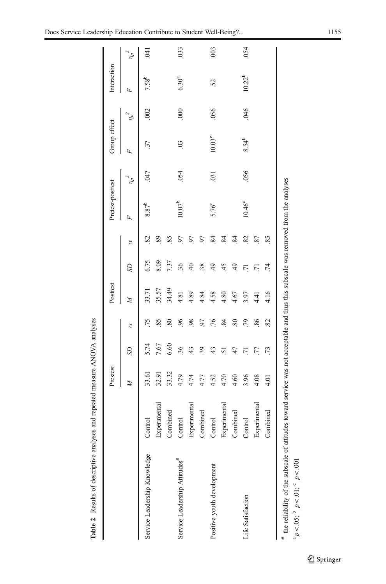<span id="page-8-0"></span>

|                                                                                                                                                  |              | Prestest     |              |                          | Posttest |                 |                          | Pretest-posttest  |            | Group effect      |            | Interaction       |            |
|--------------------------------------------------------------------------------------------------------------------------------------------------|--------------|--------------|--------------|--------------------------|----------|-----------------|--------------------------|-------------------|------------|-------------------|------------|-------------------|------------|
|                                                                                                                                                  |              | $\cancel{N}$ | $\mathbb{S}$ | ₫                        | Z        | S <sub>D</sub>  | ₫                        | Ŀ                 | $\eta_p^2$ | F                 | $\eta_p^2$ | F                 | $\eta_p^2$ |
| Service Leadership Knowledge                                                                                                                     | Control      | 33.61        | 5.74         | .75                      | 33.71    | 6.75            | 82                       | $8.87^{b}$        | <b>CFO</b> | 37                | $\approx$  | $7.58^b$          | (4)        |
|                                                                                                                                                  | Experimental | 32.91        | 7.67         | 85                       | 35.57    | 8.09            | 89                       |                   |            |                   |            |                   |            |
|                                                                                                                                                  | Combined     | 33.32        | 6.60         | 80                       | 34.49    | 7.37            | 85                       |                   |            |                   |            |                   |            |
| Service Leadership Attitudes <sup>#</sup>                                                                                                        | Control      | 4.79         | 36           | 96                       | 4.81     | 36              | 50                       | $10.07^{b}$       | .054       | S.                | 000        | 6.30 <sup>a</sup> | 033        |
|                                                                                                                                                  | Experimental | 4.74         | 43           | 98                       | 4.89     | $\overline{40}$ | 97                       |                   |            |                   |            |                   |            |
|                                                                                                                                                  | Combined     | 4.77         | 39           | .97                      | 4.84     | 38.             | .97                      |                   |            |                   |            |                   |            |
| Positive youth development                                                                                                                       | Control      | 4.52         | 43           | .76                      | 4.58     | 49              | $\overline{\mathscr{E}}$ | 5.76 <sup>a</sup> | 031        | $10.03^{\circ}$   | 056        | 52                | 003        |
|                                                                                                                                                  | xperimental  | 4.70         | 51           | $\overline{\mathscr{E}}$ | 4.80     | 45              | 84                       |                   |            |                   |            |                   |            |
|                                                                                                                                                  | Combined     | 4.60         | 47           | .80                      | 4.67     | 49              | $\overline{\mathscr{E}}$ |                   |            |                   |            |                   |            |
| Life Satisfaction                                                                                                                                | Control      | 3.96         | 1.           | .79                      | 3.97     | $\overline{2}$  | 82                       | $10.46^{\circ}$   | .056       | 8.54 <sup>b</sup> | 940        | $10.22^{b}$       | .054       |
|                                                                                                                                                  | Experimental | 4.08         | .77          | 86                       | 4.41     | 1.              | 87                       |                   |            |                   |            |                   |            |
|                                                                                                                                                  | Combined     | 4.01         | .73          | .82                      | 4.16     | 74.             | 85                       |                   |            |                   |            |                   |            |
| <sup>#</sup> the reliability of the subscale of attitudes toward service was not acceptable and thus this subscale was removed from the analyses |              |              |              |                          |          |                 |                          |                   |            |                   |            |                   |            |

Table 2 Results of descriptive analyses and repeated measure ANOVA analyses Table 2 Results of descriptive analyses and repeated measure ANOVA analyses

 ${}^{a}p$  < .05;  ${}^{b}p$  < .01;  ${}^{c}p$  < .001  ${}^{a}p$  < .05;  ${}^{b}p$  < .01;  ${}^{c}p$  < .001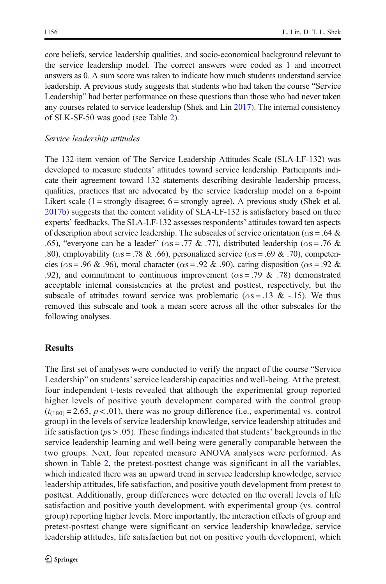core beliefs, service leadership qualities, and socio-economical background relevant to the service leadership model. The correct answers were coded as 1 and incorrect answers as 0. A sum score was taken to indicate how much students understand service leadership. A previous study suggests that students who had taken the course "Service Leadership" had better performance on these questions than those who had never taken any courses related to service leadership (Shek and Lin [2017\)](#page-16-0). The internal consistency of SLK-SF-50 was good (see Table [2\)](#page-8-0).

#### Service leadership attitudes

The 132-item version of The Service Leadership Attitudes Scale (SLA-LF-132) was developed to measure students' attitudes toward service leadership. Participants indicate their agreement toward 132 statements describing desirable leadership process, qualities, practices that are advocated by the service leadership model on a 6-point Likert scale  $(1 =$  strongly disagree;  $6 =$  strongly agree). A previous study (Shek et al. [2017b](#page-16-0)) suggests that the content validity of SLA-LF-132 is satisfactory based on three experts' feedbacks. The SLA-LF-132 assesses respondents' attitudes toward ten aspects of description about service leadership. The subscales of service orientation ( $\alpha s = .64 \&$ .65), "everyone can be a leader" ( $\alpha$ s = .77 & .77), distributed leadership ( $\alpha$ s = .76 & .80), employability ( $\alpha$ s = .78 & .66), personalized service ( $\alpha$ s = .69 & .70), competencies ( $\alpha$ s = .96 & .96), moral character ( $\alpha$ s = .92 & .90), caring disposition ( $\alpha$ s = .92 & .92), and commitment to continuous improvement ( $\alpha s = .79 \& .78$ ) demonstrated acceptable internal consistencies at the pretest and posttest, respectively, but the subscale of attitudes toward service was problematic ( $\alpha$ s = .13 & -.15). We thus removed this subscale and took a mean score across all the other subscales for the following analyses.

### **Results**

The first set of analyses were conducted to verify the impact of the course "Service Leadership" on students'service leadership capacities and well-being. At the pretest, four independent t-tests revealed that although the experimental group reported higher levels of positive youth development compared with the control group  $(t<sub>(180)</sub> = 2.65, p < .01)$ , there was no group difference (i.e., experimental vs. control group) in the levels of service leadership knowledge, service leadership attitudes and life satisfaction ( $ps > .05$ ). These findings indicated that students' backgrounds in the service leadership learning and well-being were generally comparable between the two groups. Next, four repeated measure ANOVA analyses were performed. As shown in Table [2,](#page-8-0) the pretest-posttest change was significant in all the variables, which indicated there was an upward trend in service leadership knowledge, service leadership attitudes, life satisfaction, and positive youth development from pretest to posttest. Additionally, group differences were detected on the overall levels of life satisfaction and positive youth development, with experimental group (vs. control group) reporting higher levels. More importantly, the interaction effects of group and pretest-posttest change were significant on service leadership knowledge, service leadership attitudes, life satisfaction but not on positive youth development, which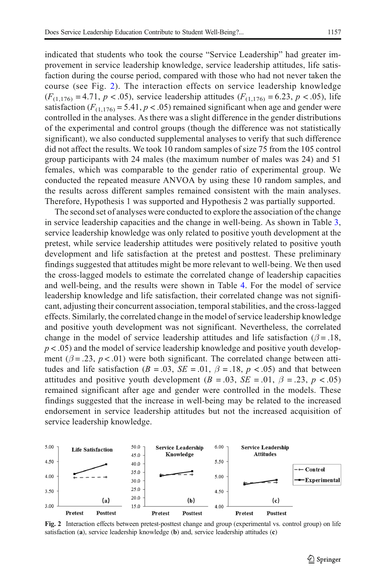indicated that students who took the course "Service Leadership" had greater improvement in service leadership knowledge, service leadership attitudes, life satisfaction during the course period, compared with those who had not never taken the course (see Fig. 2). The interaction effects on service leadership knowledge  $(F_{(1,176)} = 4.71, p < .05)$ , service leadership attitudes  $(F_{(1,176)} = 6.23, p < .05)$ , life satisfaction ( $F_{(1,176)} = 5.41$ ,  $p < .05$ ) remained significant when age and gender were controlled in the analyses. As there was a slight difference in the gender distributions of the experimental and control groups (though the difference was not statistically significant), we also conducted supplemental analyses to verify that such difference did not affect the results. We took 10 random samples of size 75 from the 105 control group participants with 24 males (the maximum number of males was 24) and 51 females, which was comparable to the gender ratio of experimental group. We conducted the repeated measure ANVOA by using these 10 random samples, and the results across different samples remained consistent with the main analyses. Therefore, Hypothesis 1 was supported and Hypothesis 2 was partially supported.

The second set of analyses were conducted to explore the association of the change in service leadership capacities and the change in well-being. As shown in Table [3,](#page-11-0) service leadership knowledge was only related to positive youth development at the pretest, while service leadership attitudes were positively related to positive youth development and life satisfaction at the pretest and posttest. These preliminary findings suggested that attitudes might be more relevant to well-being. We then used the cross-lagged models to estimate the correlated change of leadership capacities and well-being, and the results were shown in Table [4](#page-11-0). For the model of service leadership knowledge and life satisfaction, their correlated change was not significant, adjusting their concurrent association, temporal stabilities, and the cross-lagged effects. Similarly, the correlated change in the model of service leadership knowledge and positive youth development was not significant. Nevertheless, the correlated change in the model of service leadership attitudes and life satisfaction ( $\beta$ =.18,  $p < .05$ ) and the model of service leadership knowledge and positive youth development ( $\beta = .23$ ,  $p < .01$ ) were both significant. The correlated change between attitudes and life satisfaction ( $B = .03$ ,  $SE = .01$ ,  $\beta = .18$ ,  $p < .05$ ) and that between attitudes and positive youth development ( $B = .03$ ,  $SE = .01$ ,  $\beta = .23$ ,  $p < .05$ ) remained significant after age and gender were controlled in the models. These findings suggested that the increase in well-being may be related to the increased endorsement in service leadership attitudes but not the increased acquisition of service leadership knowledge.



Fig. 2 Interaction effects between pretest-posttest change and group (experimental vs. control group) on life satisfaction (a), service leadership knowledge (b) and, service leadership attitudes (c)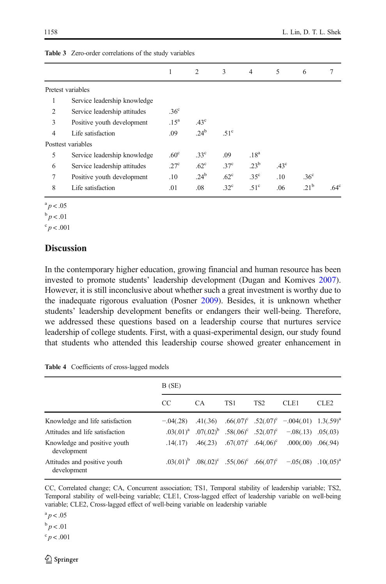|                |                              | 1                | $\overline{2}$   | 3                | $\overline{4}$   | 5             | 6                | 7                |
|----------------|------------------------------|------------------|------------------|------------------|------------------|---------------|------------------|------------------|
|                | Pretest variables            |                  |                  |                  |                  |               |                  |                  |
| 1              | Service leadership knowledge |                  |                  |                  |                  |               |                  |                  |
| $\overline{2}$ | Service leadership attitudes | .36 <sup>c</sup> |                  |                  |                  |               |                  |                  |
| 3              | Positive youth development   | .15 <sup>a</sup> | $.43^{\circ}$    |                  |                  |               |                  |                  |
| $\overline{4}$ | Life satisfaction            | .09              | .24 <sup>b</sup> | .51 <sup>c</sup> |                  |               |                  |                  |
|                | Posttest variables           |                  |                  |                  |                  |               |                  |                  |
| 5              | Service leadership knowledge | .60 <sup>c</sup> | .33 <sup>c</sup> | .09              | .18 <sup>a</sup> |               |                  |                  |
| 6              | Service leadership attitudes | $.27^{\circ}$    | $.62^{\circ}$    | .37 <sup>c</sup> | $.23^{\rm b}$    | $.43^{\circ}$ |                  |                  |
| 7              | Positive youth development   | .10              | $.24^{b}$        | $.62^{\circ}$    | .35 <sup>c</sup> | .10           | .36 <sup>c</sup> |                  |
| 8              | Life satisfaction            | .01              | .08              | .32 <sup>c</sup> | .51 <sup>c</sup> | .06           | $.21^{b}$        | .64 <sup>c</sup> |

<span id="page-11-0"></span>Table 3 Zero-order correlations of the study variables

### $a^a p < .05$

### $b$   $p < .01$

 $\degree p < .001$ 

# **Discussion**

In the contemporary higher education, growing financial and human resource has been invested to promote students' leadership development (Dugan and Komives [2007\)](#page-15-0). However, it is still inconclusive about whether such a great investment is worthy due to the inadequate rigorous evaluation (Posner [2009\)](#page-15-0). Besides, it is unknown whether students' leadership development benefits or endangers their well-being. Therefore, we addressed these questions based on a leadership course that nurtures service leadership of college students. First, with a quasi-experimental design, our study found that students who attended this leadership course showed greater enhancement in

Table 4 Coefficients of cross-lagged models

|                                             | B(SE)          |          |                 |                           |                                                                 |          |
|---------------------------------------------|----------------|----------|-----------------|---------------------------|-----------------------------------------------------------------|----------|
|                                             | CC             | CA       | TS <sub>1</sub> | TS <sub>2</sub>           | CLE1                                                            | CLE2     |
| Knowledge and life satisfaction             | $-.04(.28)$    | .41(.36) |                 |                           | $.66(.07)^c$ $.52(.07)^c$ $-.004(.01)$ $1.3(.59)^a$             |          |
| Attitudes and life satisfaction             | $.03(.01)^{a}$ |          |                 |                           | $.07(.02)^b$ $.58(.06)^c$ $.52(.07)^c$ $-.08(.13)$              | .05(.03) |
| Knowledge and positive youth<br>development | .14(.17)       | .46(.23) |                 | $.67(.07)^c$ $.64(.06)^c$ | .000(.00)                                                       | .06(.94) |
| Attitudes and positive youth<br>development | $.03(.01)^b$   |          |                 |                           | $.08(.02)^c$ $.55(.06)^c$ $.66(.07)^c$ $-.05(.08)$ $.10(.05)^a$ |          |

CC, Correlated change; CA, Concurrent association; TS1, Temporal stability of leadership variable; TS2, Temporal stability of well-being variable; CLE1, Cross-lagged effect of leadership variable on well-being variable; CLE2, Cross-lagged effect of well-being variable on leadership variable

$$
^{\rm b}p < .01
$$

 $\degree p < .001$ 

 $a^{a}$  p < .05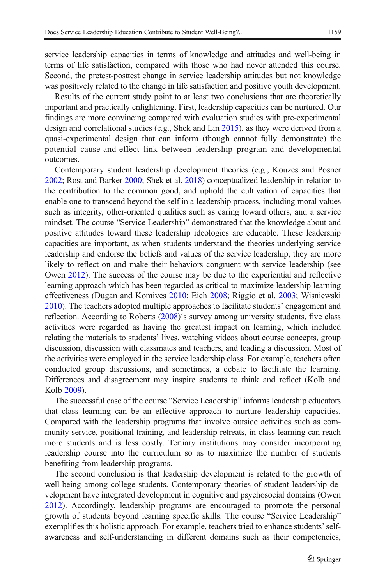service leadership capacities in terms of knowledge and attitudes and well-being in terms of life satisfaction, compared with those who had never attended this course. Second, the pretest-posttest change in service leadership attitudes but not knowledge was positively related to the change in life satisfaction and positive youth development.

Results of the current study point to at least two conclusions that are theoretically important and practically enlightening. First, leadership capacities can be nurtured. Our findings are more convincing compared with evaluation studies with pre-experimental design and correlational studies (e.g., Shek and Lin [2015](#page-16-0)), as they were derived from a quasi-experimental design that can inform (though cannot fully demonstrate) the potential cause-and-effect link between leadership program and developmental outcomes.

Contemporary student leadership development theories (e.g., Kouzes and Posner [2002;](#page-15-0) Rost and Barker [2000;](#page-16-0) Shek et al. [2018](#page-16-0)) conceptualized leadership in relation to the contribution to the common good, and uphold the cultivation of capacities that enable one to transcend beyond the self in a leadership process, including moral values such as integrity, other-oriented qualities such as caring toward others, and a service mindset. The course "Service Leadership" demonstrated that the knowledge about and positive attitudes toward these leadership ideologies are educable. These leadership capacities are important, as when students understand the theories underlying service leadership and endorse the beliefs and values of the service leadership, they are more likely to reflect on and make their behaviors congruent with service leadership (see Owen [2012](#page-15-0)). The success of the course may be due to the experiential and reflective learning approach which has been regarded as critical to maximize leadership learning effectiveness (Dugan and Komives [2010](#page-15-0); Eich [2008;](#page-15-0) Riggio et al. [2003;](#page-15-0) Wisniewski [2010\)](#page-16-0). The teachers adopted multiple approaches to facilitate students' engagement and reflection. According to Roberts [\(2008\)](#page-15-0)'s survey among university students, five class activities were regarded as having the greatest impact on learning, which included relating the materials to students' lives, watching videos about course concepts, group discussion, discussion with classmates and teachers, and leading a discussion. Most of the activities were employed in the service leadership class. For example, teachers often conducted group discussions, and sometimes, a debate to facilitate the learning. Differences and disagreement may inspire students to think and reflect (Kolb and Kolb [2009](#page-15-0)).

The successful case of the course "Service Leadership" informs leadership educators that class learning can be an effective approach to nurture leadership capacities. Compared with the leadership programs that involve outside activities such as community service, positional training, and leadership retreats, in-class learning can reach more students and is less costly. Tertiary institutions may consider incorporating leadership course into the curriculum so as to maximize the number of students benefiting from leadership programs.

The second conclusion is that leadership development is related to the growth of well-being among college students. Contemporary theories of student leadership development have integrated development in cognitive and psychosocial domains (Owen [2012\)](#page-15-0). Accordingly, leadership programs are encouraged to promote the personal growth of students beyond learning specific skills. The course "Service Leadership" exemplifies this holistic approach. For example, teachers tried to enhance students'selfawareness and self-understanding in different domains such as their competencies,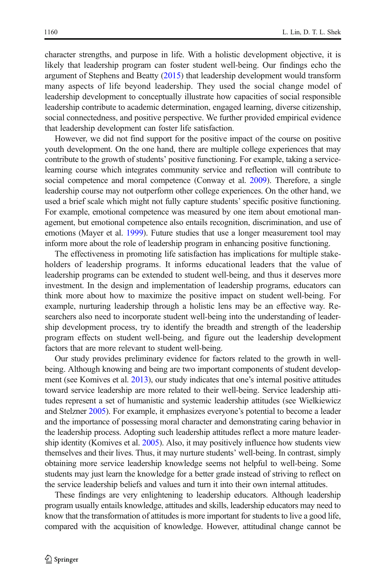character strengths, and purpose in life. With a holistic development objective, it is likely that leadership program can foster student well-being. Our findings echo the argument of Stephens and Beatty [\(2015\)](#page-16-0) that leadership development would transform many aspects of life beyond leadership. They used the social change model of leadership development to conceptually illustrate how capacities of social responsible leadership contribute to academic determination, engaged learning, diverse citizenship, social connectedness, and positive perspective. We further provided empirical evidence that leadership development can foster life satisfaction.

However, we did not find support for the positive impact of the course on positive youth development. On the one hand, there are multiple college experiences that may contribute to the growth of students' positive functioning. For example, taking a servicelearning course which integrates community service and reflection will contribute to social competence and moral competence (Conway et al. [2009\)](#page-15-0). Therefore, a single leadership course may not outperform other college experiences. On the other hand, we used a brief scale which might not fully capture students' specific positive functioning. For example, emotional competence was measured by one item about emotional management, but emotional competence also entails recognition, discrimination, and use of emotions (Mayer et al. [1999](#page-15-0)). Future studies that use a longer measurement tool may inform more about the role of leadership program in enhancing positive functioning.

The effectiveness in promoting life satisfaction has implications for multiple stakeholders of leadership programs. It informs educational leaders that the value of leadership programs can be extended to student well-being, and thus it deserves more investment. In the design and implementation of leadership programs, educators can think more about how to maximize the positive impact on student well-being. For example, nurturing leadership through a holistic lens may be an effective way. Researchers also need to incorporate student well-being into the understanding of leadership development process, try to identify the breadth and strength of the leadership program effects on student well-being, and figure out the leadership development factors that are more relevant to student well-being.

Our study provides preliminary evidence for factors related to the growth in wellbeing. Although knowing and being are two important components of student development (see Komives et al. [2013\)](#page-15-0), our study indicates that one's internal positive attitudes toward service leadership are more related to their well-being. Service leadership attitudes represent a set of humanistic and systemic leadership attitudes (see Wielkiewicz and Stelzner [2005\)](#page-16-0). For example, it emphasizes everyone's potential to become a leader and the importance of possessing moral character and demonstrating caring behavior in the leadership process. Adopting such leadership attitudes reflect a more mature leadership identity (Komives et al. [2005](#page-15-0)). Also, it may positively influence how students view themselves and their lives. Thus, it may nurture students' well-being. In contrast, simply obtaining more service leadership knowledge seems not helpful to well-being. Some students may just learn the knowledge for a better grade instead of striving to reflect on the service leadership beliefs and values and turn it into their own internal attitudes.

These findings are very enlightening to leadership educators. Although leadership program usually entails knowledge, attitudes and skills, leadership educators may need to know that the transformation of attitudes is more important for students to live a good life, compared with the acquisition of knowledge. However, attitudinal change cannot be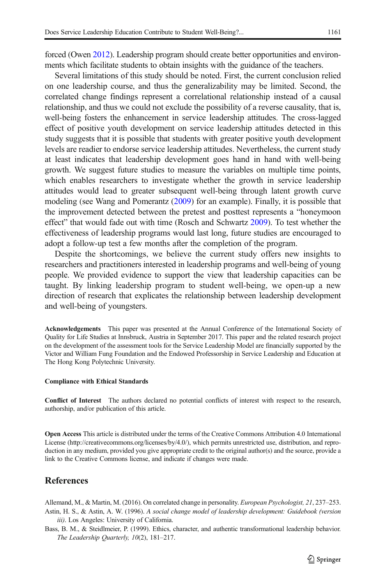<span id="page-14-0"></span>forced (Owen [2012](#page-15-0)). Leadership program should create better opportunities and environments which facilitate students to obtain insights with the guidance of the teachers.

Several limitations of this study should be noted. First, the current conclusion relied on one leadership course, and thus the generalizability may be limited. Second, the correlated change findings represent a correlational relationship instead of a causal relationship, and thus we could not exclude the possibility of a reverse causality, that is, well-being fosters the enhancement in service leadership attitudes. The cross-lagged effect of positive youth development on service leadership attitudes detected in this study suggests that it is possible that students with greater positive youth development levels are readier to endorse service leadership attitudes. Nevertheless, the current study at least indicates that leadership development goes hand in hand with well-being growth. We suggest future studies to measure the variables on multiple time points, which enables researchers to investigate whether the growth in service leadership attitudes would lead to greater subsequent well-being through latent growth curve modeling (see Wang and Pomerantz [\(2009\)](#page-16-0) for an example). Finally, it is possible that the improvement detected between the pretest and posttest represents a "honeymoon effect" that would fade out with time (Rosch and Schwartz [2009\)](#page-16-0). To test whether the effectiveness of leadership programs would last long, future studies are encouraged to adopt a follow-up test a few months after the completion of the program.

Despite the shortcomings, we believe the current study offers new insights to researchers and practitioners interested in leadership programs and well-being of young people. We provided evidence to support the view that leadership capacities can be taught. By linking leadership program to student well-being, we open-up a new direction of research that explicates the relationship between leadership development and well-being of youngsters.

Acknowledgements This paper was presented at the Annual Conference of the International Society of Quality for Life Studies at Innsbruck, Austria in September 2017. This paper and the related research project on the development of the assessment tools for the Service Leadership Model are financially supported by the Victor and William Fung Foundation and the Endowed Professorship in Service Leadership and Education at The Hong Kong Polytechnic University.

#### Compliance with Ethical Standards

Conflict of Interest The authors declared no potential conflicts of interest with respect to the research, authorship, and/or publication of this article.

Open Access This article is distributed under the terms of the Creative Commons Attribution 4.0 International License (http://creativecommons.org/licenses/by/4.0/), which permits unrestricted use, distribution, and reproduction in any medium, provided you give appropriate credit to the original author(s) and the source, provide a link to the Creative Commons license, and indicate if changes were made.

#### **References**

Allemand, M., & Martin, M. (2016). On correlated change in personality. European Psychologist, 21, 237–253.

- Astin, H. S., & Astin, A. W. (1996). A social change model of leadership development: Guidebook (version iii). Los Angeles: University of California.
- Bass, B. M., & Steidlmeier, P. (1999). Ethics, character, and authentic transformational leadership behavior. The Leadership Quarterly, 10(2), 181–217.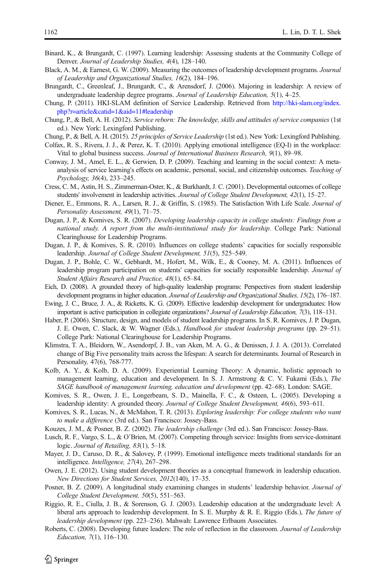- <span id="page-15-0"></span>Binard, K., & Brungardt, C. (1997). Learning leadership: Assessing students at the Community College of Denver. Journal of Leadership Studies, 4(4), 128–140.
- Black, A. M., & Earnest, G. W. (2009). Measuring the outcomes of leadership development programs. Journal of Leadership and Organizational Studies, 16(2), 184–196.
- Brungardt, C., Greenleaf, J., Brungardt, C., & Arensdorf, J. (2006). Majoring in leadership: A review of undergraduate leadership degree programs. Journal of Leadership Education, 5(1), 4–25.
- Chung, P. (2011). HKI-SLAM definition of Service Leadership. Retrieved from [http://hki-slam.org/index.](http://hki-slam.org/index.php?r=article&catid=1&aid=11#leadership) [php?r=article&catid=1&aid=11#leadership](http://hki-slam.org/index.php?r=article&catid=1&aid=11#leadership)
- Chung, P., & Bell, A. H. (2012). Service reborn: The knowledge, skills and attitudes of service companies (1st ed.). New York: Lexingford Publishing.
- Chung, P., & Bell, A. H. (2015). 25 principles of Service Leadership (1st ed.). New York: Lexingford Publishing.
- Colfax, R. S., Rivera, J. J., & Perez, K. T. (2010). Applying emotional intelligence (EQ-I) in the workplace: Vital to global business success. Journal of International Business Research, 9(1), 89–98.
- Conway, J. M., Amel, E. L., & Gerwien, D. P. (2009). Teaching and learning in the social context: A metaanalysis of service learning's effects on academic, personal, social, and citizenship outcomes. Teaching of Psychology, 36(4), 233–245.
- Cress, C. M., Astin, H. S., Zimmerman-Oster, K., & Burkhardt, J. C. (2001). Developmental outcomes of college students' involvement in leadership activities. Journal of College Student Development, 42(1), 15–27.
- Diener, E., Emmons, R. A., Larsen, R. J., & Griffin, S. (1985). The Satisfaction With Life Scale. Journal of Personality Assessment, 49(1), 71–75.
- Dugan, J. P., & Komives, S. R. (2007). Developing leadership capacity in college students: Findings from a national study. A report from the multi-institutional study for leadership. College Park: National Clearinghouse for Leadership Programs.
- Dugan, J. P., & Komives, S. R. (2010). Influences on college students' capacities for socially responsible leadership. Journal of College Student Development, 51(5), 525–549.
- Dugan, J. P., Bohle, C. W., Gebhardt, M., Hofert, M., Wilk, E., & Cooney, M. A. (2011). Influences of leadership program participation on students' capacities for socially responsible leadership. Journal of Student Affairs Research and Practice, 48(1), 65–84.
- Eich, D. (2008). A grounded theory of high-quality leadership programs: Perspectives from student leadership development programs in higher education. Journal of Leadership and Organizational Studies, 15(2), 176–187.
- Ewing, J. C., Bruce, J. A., & Ricketts, K. G. (2009). Effective leadership development for undergraduates: How important is active participation in collegiate organizations? Journal of Leadership Education, 7(3), 118–131.
- Haber, P. (2006). Structure, design, and models of student leadership programs. In S. R. Komives, J. P. Dugan, J. E. Owen, C. Slack, & W. Wagner (Eds.), Handbook for student leadership programs (pp. 29–51). College Park: National Clearinghouse for Leadership Programs.
- Klimstra, T. A., Bleidorn, W., Asendorpf, J. B., van Aken, M. A. G., & Denissen, J. J. A. (2013). Correlated change of Big Five personality traits across the lifespan: A search for determinants. Journal of Research in Personality, 47(6), 768-777.
- Kolb, A. Y., & Kolb, D. A. (2009). Experiential Learning Theory: A dynamic, holistic approach to management learning, education and development. In S. J. Armstrong & C. V. Fukami (Eds.), The SAGE handbook of management learning, education and development (pp. 42–68). London: SAGE.
- Komives, S. R., Owen, J. E., Longerbeam, S. D., Mainella, F. C., & Osteen, L. (2005). Developing a leadership identity: A grounded theory. Journal of College Student Development, 46(6), 593–611.
- Komives, S. R., Lucas, N., & McMahon, T. R. (2013). Exploring leadership: For college students who want to make a difference (3rd ed.). San Francisco: Jossey-Bass.
- Kouzes, J. M., & Posner, B. Z. (2002). The leadership challenge (3rd ed.). San Francisco: Jossey-Bass.
- Lusch, R. F., Vargo, S. L., & O'Brien, M. (2007). Competing through service: Insights from service-dominant logic. Journal of Retailing, 83(1), 5-18.
- Mayer, J. D., Caruso, D. R., & Salovey, P. (1999). Emotional intelligence meets traditional standards for an intelligence. Intelligence, 27(4), 267–298.
- Owen, J. E. (2012). Using student development theories as a conceptual framework in leadership education. New Directions for Student Services, 2012(140), 17–35.
- Posner, B. Z. (2009). A longitudinal study examining changes in students' leadership behavior. Journal of College Student Development, 50(5), 551–563.
- Riggio, R. E., Ciulla, J. B., & Sorenson, G. J. (2003). Leadership education at the undergraduate level: A liberal arts approach to leadership development. In S. E. Murphy & R. E. Riggio (Eds.), The future of leadership development (pp. 223–236). Mahwah: Lawrence Erlbaum Associates.
- Roberts, C. (2008). Developing future leaders: The role of reflection in the classroom. Journal of Leadership Education, 7(1), 116–130.